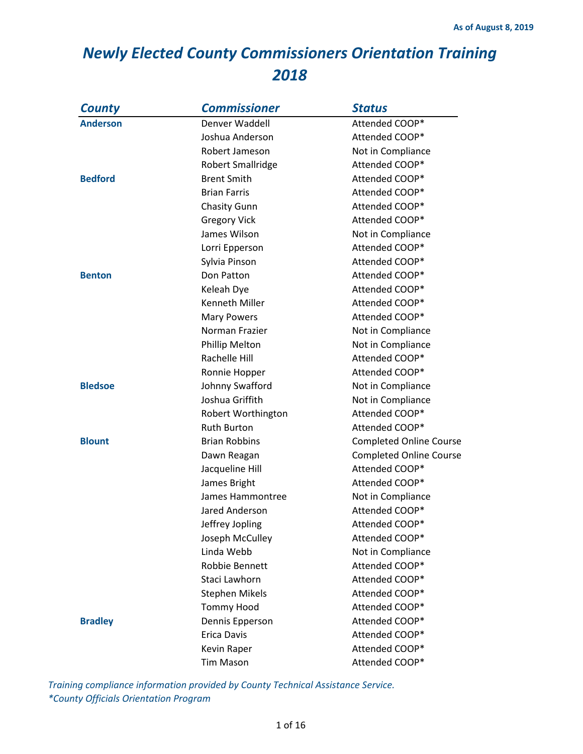| <b>County</b>   | <b>Commissioner</b>   | <b>Status</b>                  |
|-----------------|-----------------------|--------------------------------|
| <b>Anderson</b> | Denver Waddell        | Attended COOP*                 |
|                 | Joshua Anderson       | Attended COOP*                 |
|                 | Robert Jameson        | Not in Compliance              |
|                 | Robert Smallridge     | Attended COOP*                 |
| <b>Bedford</b>  | <b>Brent Smith</b>    | Attended COOP*                 |
|                 | <b>Brian Farris</b>   | Attended COOP*                 |
|                 | <b>Chasity Gunn</b>   | Attended COOP*                 |
|                 | <b>Gregory Vick</b>   | Attended COOP*                 |
|                 | James Wilson          | Not in Compliance              |
|                 | Lorri Epperson        | Attended COOP*                 |
|                 | Sylvia Pinson         | Attended COOP*                 |
| <b>Benton</b>   | Don Patton            | Attended COOP*                 |
|                 | Keleah Dye            | Attended COOP*                 |
|                 | <b>Kenneth Miller</b> | Attended COOP*                 |
|                 | <b>Mary Powers</b>    | Attended COOP*                 |
|                 | Norman Frazier        | Not in Compliance              |
|                 | Phillip Melton        | Not in Compliance              |
|                 | Rachelle Hill         | Attended COOP*                 |
|                 | Ronnie Hopper         | Attended COOP*                 |
| <b>Bledsoe</b>  | Johnny Swafford       | Not in Compliance              |
|                 | Joshua Griffith       | Not in Compliance              |
|                 | Robert Worthington    | Attended COOP*                 |
|                 | <b>Ruth Burton</b>    | Attended COOP*                 |
| <b>Blount</b>   | <b>Brian Robbins</b>  | <b>Completed Online Course</b> |
|                 | Dawn Reagan           | <b>Completed Online Course</b> |
|                 | Jacqueline Hill       | Attended COOP*                 |
|                 | James Bright          | Attended COOP*                 |
|                 | James Hammontree      | Not in Compliance              |
|                 | Jared Anderson        | Attended COOP*                 |
|                 | Jeffrey Jopling       | Attended COOP*                 |
|                 | Joseph McCulley       | Attended COOP*                 |
|                 | Linda Webb            | Not in Compliance              |
|                 | Robbie Bennett        | Attended COOP*                 |
|                 | Staci Lawhorn         | Attended COOP*                 |
|                 | <b>Stephen Mikels</b> | Attended COOP*                 |
|                 | <b>Tommy Hood</b>     | Attended COOP*                 |
| <b>Bradley</b>  | Dennis Epperson       | Attended COOP*                 |
|                 | <b>Erica Davis</b>    | Attended COOP*                 |
|                 | Kevin Raper           | Attended COOP*                 |
|                 | <b>Tim Mason</b>      | Attended COOP*                 |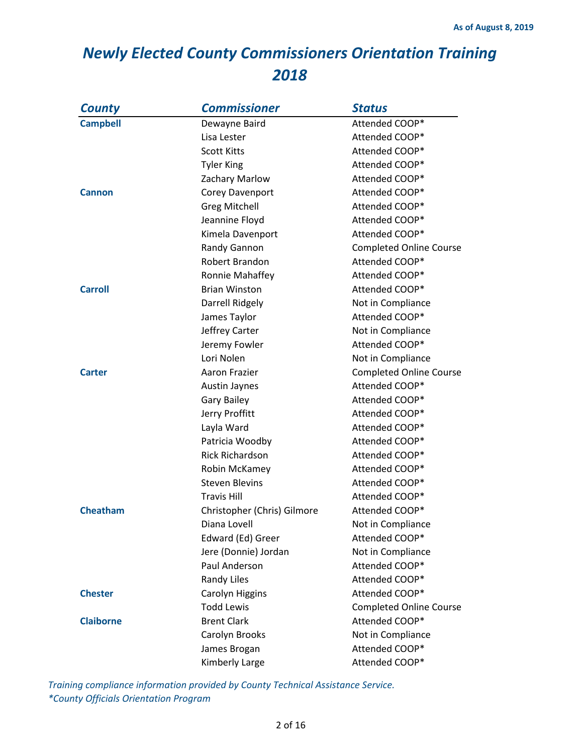| <b>County</b>    | <b>Commissioner</b>         | <b>Status</b>                  |
|------------------|-----------------------------|--------------------------------|
| <b>Campbell</b>  | Dewayne Baird               | Attended COOP*                 |
|                  | Lisa Lester                 | Attended COOP*                 |
|                  | <b>Scott Kitts</b>          | Attended COOP*                 |
|                  | <b>Tyler King</b>           | Attended COOP*                 |
|                  | Zachary Marlow              | Attended COOP*                 |
| <b>Cannon</b>    | Corey Davenport             | Attended COOP*                 |
|                  | <b>Greg Mitchell</b>        | Attended COOP*                 |
|                  | Jeannine Floyd              | Attended COOP*                 |
|                  | Kimela Davenport            | Attended COOP*                 |
|                  | Randy Gannon                | <b>Completed Online Course</b> |
|                  | Robert Brandon              | Attended COOP*                 |
|                  | Ronnie Mahaffey             | Attended COOP*                 |
| <b>Carroll</b>   | <b>Brian Winston</b>        | Attended COOP*                 |
|                  | Darrell Ridgely             | Not in Compliance              |
|                  | James Taylor                | Attended COOP*                 |
|                  | Jeffrey Carter              | Not in Compliance              |
|                  | Jeremy Fowler               | Attended COOP*                 |
|                  | Lori Nolen                  | Not in Compliance              |
| <b>Carter</b>    | Aaron Frazier               | <b>Completed Online Course</b> |
|                  | Austin Jaynes               | Attended COOP*                 |
|                  | <b>Gary Bailey</b>          | Attended COOP*                 |
|                  | Jerry Proffitt              | Attended COOP*                 |
|                  | Layla Ward                  | Attended COOP*                 |
|                  | Patricia Woodby             | Attended COOP*                 |
|                  | <b>Rick Richardson</b>      | Attended COOP*                 |
|                  | Robin McKamey               | Attended COOP*                 |
|                  | <b>Steven Blevins</b>       | Attended COOP*                 |
|                  | <b>Travis Hill</b>          | Attended COOP*                 |
| <b>Cheatham</b>  | Christopher (Chris) Gilmore | Attended COOP*                 |
|                  | Diana Lovell                | Not in Compliance              |
|                  | Edward (Ed) Greer           | Attended COOP*                 |
|                  | Jere (Donnie) Jordan        | Not in Compliance              |
|                  | Paul Anderson               | Attended COOP*                 |
|                  | <b>Randy Liles</b>          | Attended COOP*                 |
| <b>Chester</b>   | Carolyn Higgins             | Attended COOP*                 |
|                  | <b>Todd Lewis</b>           | <b>Completed Online Course</b> |
| <b>Claiborne</b> | <b>Brent Clark</b>          | Attended COOP*                 |
|                  | Carolyn Brooks              | Not in Compliance              |
|                  | James Brogan                | Attended COOP*                 |
|                  | Kimberly Large              | Attended COOP*                 |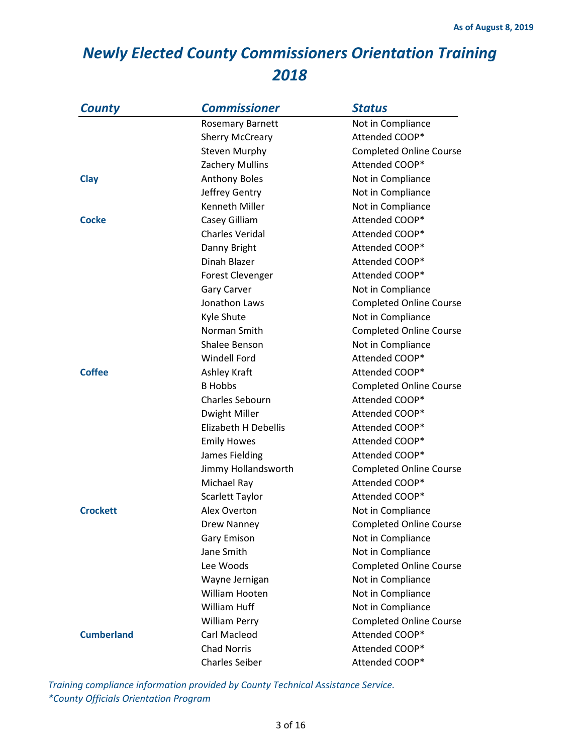| <b>County</b>     | <b>Commissioner</b>     | <b>Status</b>                  |
|-------------------|-------------------------|--------------------------------|
|                   | <b>Rosemary Barnett</b> | Not in Compliance              |
|                   | <b>Sherry McCreary</b>  | Attended COOP*                 |
|                   | <b>Steven Murphy</b>    | <b>Completed Online Course</b> |
|                   | <b>Zachery Mullins</b>  | Attended COOP*                 |
| <b>Clay</b>       | <b>Anthony Boles</b>    | Not in Compliance              |
|                   | Jeffrey Gentry          | Not in Compliance              |
|                   | <b>Kenneth Miller</b>   | Not in Compliance              |
| <b>Cocke</b>      | Casey Gilliam           | Attended COOP*                 |
|                   | <b>Charles Veridal</b>  | Attended COOP*                 |
|                   | Danny Bright            | Attended COOP*                 |
|                   | Dinah Blazer            | Attended COOP*                 |
|                   | Forest Clevenger        | Attended COOP*                 |
|                   | <b>Gary Carver</b>      | Not in Compliance              |
|                   | Jonathon Laws           | <b>Completed Online Course</b> |
|                   | Kyle Shute              | Not in Compliance              |
|                   | Norman Smith            | <b>Completed Online Course</b> |
|                   | Shalee Benson           | Not in Compliance              |
|                   | <b>Windell Ford</b>     | Attended COOP*                 |
| <b>Coffee</b>     | Ashley Kraft            | Attended COOP*                 |
|                   | <b>B Hobbs</b>          | <b>Completed Online Course</b> |
|                   | Charles Sebourn         | Attended COOP*                 |
|                   | Dwight Miller           | Attended COOP*                 |
|                   | Elizabeth H Debellis    | Attended COOP*                 |
|                   | <b>Emily Howes</b>      | Attended COOP*                 |
|                   | James Fielding          | Attended COOP*                 |
|                   | Jimmy Hollandsworth     | <b>Completed Online Course</b> |
|                   | Michael Ray             | Attended COOP*                 |
|                   | Scarlett Taylor         | Attended COOP*                 |
| <b>Crockett</b>   | Alex Overton            | Not in Compliance              |
|                   | Drew Nanney             | <b>Completed Online Course</b> |
|                   | Gary Emison             | Not in Compliance              |
|                   | Jane Smith              | Not in Compliance              |
|                   | Lee Woods               | <b>Completed Online Course</b> |
|                   | Wayne Jernigan          | Not in Compliance              |
|                   | William Hooten          | Not in Compliance              |
|                   | <b>William Huff</b>     | Not in Compliance              |
|                   | <b>William Perry</b>    | <b>Completed Online Course</b> |
| <b>Cumberland</b> | Carl Macleod            | Attended COOP*                 |
|                   | <b>Chad Norris</b>      | Attended COOP*                 |
|                   | <b>Charles Seiber</b>   | Attended COOP*                 |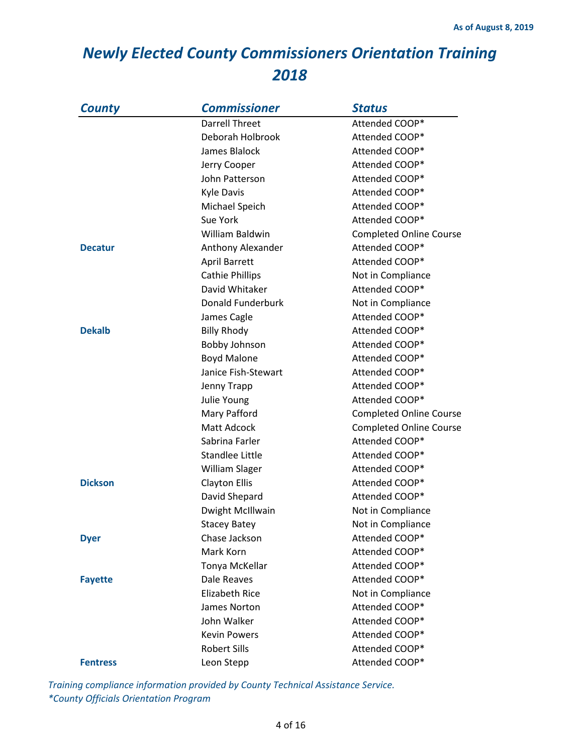| <b>County</b>   | <b>Commissioner</b>    | <b>Status</b>                  |
|-----------------|------------------------|--------------------------------|
|                 | <b>Darrell Threet</b>  | Attended COOP*                 |
|                 | Deborah Holbrook       | Attended COOP*                 |
|                 | James Blalock          | Attended COOP*                 |
|                 | Jerry Cooper           | Attended COOP*                 |
|                 | John Patterson         | Attended COOP*                 |
|                 | <b>Kyle Davis</b>      | Attended COOP*                 |
|                 | Michael Speich         | Attended COOP*                 |
|                 | Sue York               | Attended COOP*                 |
|                 | William Baldwin        | <b>Completed Online Course</b> |
| <b>Decatur</b>  | Anthony Alexander      | Attended COOP*                 |
|                 | April Barrett          | Attended COOP*                 |
|                 | <b>Cathie Phillips</b> | Not in Compliance              |
|                 | David Whitaker         | Attended COOP*                 |
|                 | Donald Funderburk      | Not in Compliance              |
|                 | James Cagle            | Attended COOP*                 |
| <b>Dekalb</b>   | <b>Billy Rhody</b>     | Attended COOP*                 |
|                 | Bobby Johnson          | Attended COOP*                 |
|                 | <b>Boyd Malone</b>     | Attended COOP*                 |
|                 | Janice Fish-Stewart    | Attended COOP*                 |
|                 | Jenny Trapp            | Attended COOP*                 |
|                 | Julie Young            | Attended COOP*                 |
|                 | Mary Pafford           | <b>Completed Online Course</b> |
|                 | Matt Adcock            | <b>Completed Online Course</b> |
|                 | Sabrina Farler         | Attended COOP*                 |
|                 | <b>Standlee Little</b> | Attended COOP*                 |
|                 | William Slager         | Attended COOP*                 |
| <b>Dickson</b>  | <b>Clayton Ellis</b>   | Attended COOP*                 |
|                 | David Shepard          | Attended COOP*                 |
|                 | Dwight McIllwain       | Not in Compliance              |
|                 | <b>Stacey Batey</b>    | Not in Compliance              |
| <b>Dyer</b>     | Chase Jackson          | Attended COOP*                 |
|                 | Mark Korn              | Attended COOP*                 |
|                 | Tonya McKellar         | Attended COOP*                 |
| <b>Fayette</b>  | Dale Reaves            | Attended COOP*                 |
|                 | <b>Elizabeth Rice</b>  | Not in Compliance              |
|                 | James Norton           | Attended COOP*                 |
|                 | John Walker            | Attended COOP*                 |
|                 | <b>Kevin Powers</b>    | Attended COOP*                 |
|                 | <b>Robert Sills</b>    | Attended COOP*                 |
| <b>Fentress</b> | Leon Stepp             | Attended COOP*                 |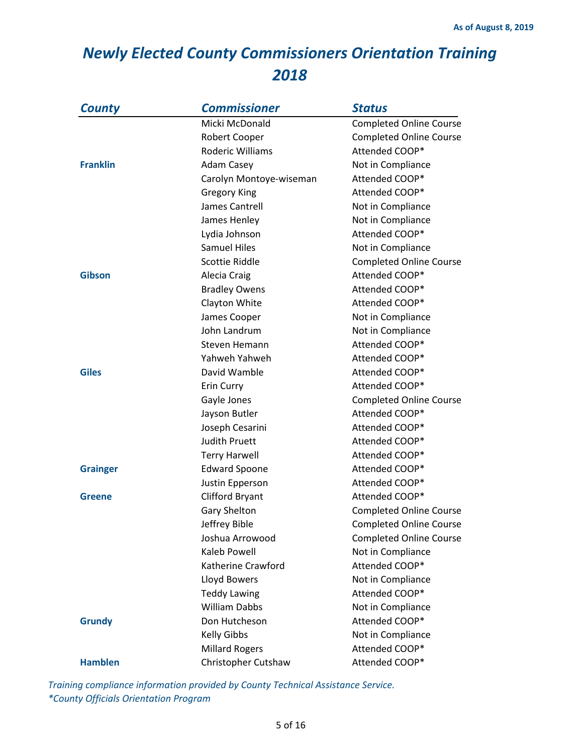| <b>County</b>   | <b>Commissioner</b>     | <b>Status</b>                  |
|-----------------|-------------------------|--------------------------------|
|                 | Micki McDonald          | <b>Completed Online Course</b> |
|                 | Robert Cooper           | <b>Completed Online Course</b> |
|                 | <b>Roderic Williams</b> | Attended COOP*                 |
| <b>Franklin</b> | Adam Casey              | Not in Compliance              |
|                 | Carolyn Montoye-wiseman | Attended COOP*                 |
|                 | <b>Gregory King</b>     | Attended COOP*                 |
|                 | James Cantrell          | Not in Compliance              |
|                 | James Henley            | Not in Compliance              |
|                 | Lydia Johnson           | Attended COOP*                 |
|                 | <b>Samuel Hiles</b>     | Not in Compliance              |
|                 | <b>Scottie Riddle</b>   | <b>Completed Online Course</b> |
| <b>Gibson</b>   | Alecia Craig            | Attended COOP*                 |
|                 | <b>Bradley Owens</b>    | Attended COOP*                 |
|                 | Clayton White           | Attended COOP*                 |
|                 | James Cooper            | Not in Compliance              |
|                 | John Landrum            | Not in Compliance              |
|                 | Steven Hemann           | Attended COOP*                 |
|                 | Yahweh Yahweh           | Attended COOP*                 |
| <b>Giles</b>    | David Wamble            | Attended COOP*                 |
|                 | Erin Curry              | Attended COOP*                 |
|                 | Gayle Jones             | <b>Completed Online Course</b> |
|                 | Jayson Butler           | Attended COOP*                 |
|                 | Joseph Cesarini         | Attended COOP*                 |
|                 | <b>Judith Pruett</b>    | Attended COOP*                 |
|                 | <b>Terry Harwell</b>    | Attended COOP*                 |
| <b>Grainger</b> | <b>Edward Spoone</b>    | Attended COOP*                 |
|                 | Justin Epperson         | Attended COOP*                 |
| <b>Greene</b>   | <b>Clifford Bryant</b>  | Attended COOP*                 |
|                 | Gary Shelton            | <b>Completed Online Course</b> |
|                 | Jeffrey Bible           | <b>Completed Online Course</b> |
|                 | Joshua Arrowood         | <b>Completed Online Course</b> |
|                 | <b>Kaleb Powell</b>     | Not in Compliance              |
|                 | Katherine Crawford      | Attended COOP*                 |
|                 | Lloyd Bowers            | Not in Compliance              |
|                 | <b>Teddy Lawing</b>     | Attended COOP*                 |
|                 | <b>William Dabbs</b>    | Not in Compliance              |
| <b>Grundy</b>   | Don Hutcheson           | Attended COOP*                 |
|                 | <b>Kelly Gibbs</b>      | Not in Compliance              |
|                 | <b>Millard Rogers</b>   | Attended COOP*                 |
| <b>Hamblen</b>  | Christopher Cutshaw     | Attended COOP*                 |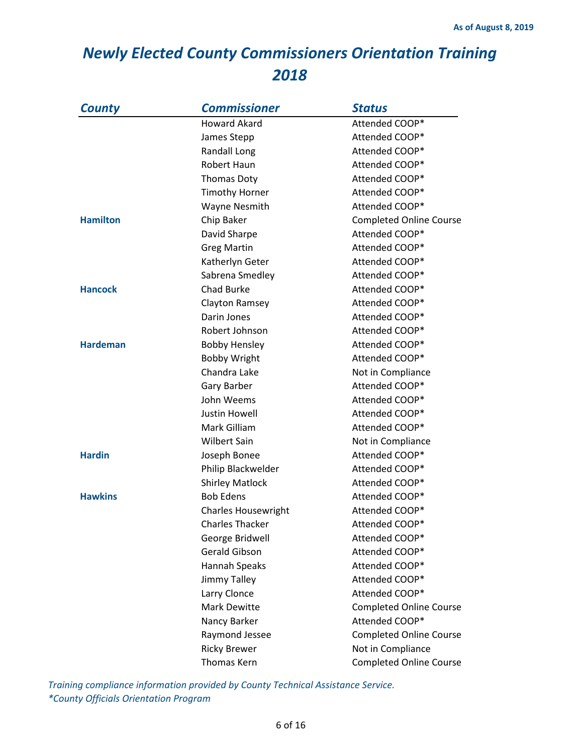| <b>County</b>   | <b>Commissioner</b>        | <b>Status</b>                  |
|-----------------|----------------------------|--------------------------------|
|                 | <b>Howard Akard</b>        | Attended COOP*                 |
|                 | James Stepp                | Attended COOP*                 |
|                 | Randall Long               | Attended COOP*                 |
|                 | Robert Haun                | Attended COOP*                 |
|                 | <b>Thomas Doty</b>         | Attended COOP*                 |
|                 | <b>Timothy Horner</b>      | Attended COOP*                 |
|                 | Wayne Nesmith              | Attended COOP*                 |
| <b>Hamilton</b> | Chip Baker                 | <b>Completed Online Course</b> |
|                 | David Sharpe               | Attended COOP*                 |
|                 | <b>Greg Martin</b>         | Attended COOP*                 |
|                 | Katherlyn Geter            | Attended COOP*                 |
|                 | Sabrena Smedley            | Attended COOP*                 |
| <b>Hancock</b>  | Chad Burke                 | Attended COOP*                 |
|                 | Clayton Ramsey             | Attended COOP*                 |
|                 | Darin Jones                | Attended COOP*                 |
|                 | Robert Johnson             | Attended COOP*                 |
| <b>Hardeman</b> | <b>Bobby Hensley</b>       | Attended COOP*                 |
|                 | <b>Bobby Wright</b>        | Attended COOP*                 |
|                 | Chandra Lake               | Not in Compliance              |
|                 | Gary Barber                | Attended COOP*                 |
|                 | John Weems                 | Attended COOP*                 |
|                 | Justin Howell              | Attended COOP*                 |
|                 | Mark Gilliam               | Attended COOP*                 |
|                 | <b>Wilbert Sain</b>        | Not in Compliance              |
| <b>Hardin</b>   | Joseph Bonee               | Attended COOP*                 |
|                 | Philip Blackwelder         | Attended COOP*                 |
|                 | <b>Shirley Matlock</b>     | Attended COOP*                 |
| <b>Hawkins</b>  | <b>Bob Edens</b>           | Attended COOP*                 |
|                 | <b>Charles Housewright</b> | Attended COOP*                 |
|                 | <b>Charles Thacker</b>     | Attended COOP*                 |
|                 | George Bridwell            | Attended COOP*                 |
|                 | <b>Gerald Gibson</b>       | Attended COOP*                 |
|                 | Hannah Speaks              | Attended COOP*                 |
|                 | Jimmy Talley               | Attended COOP*                 |
|                 | Larry Clonce               | Attended COOP*                 |
|                 | Mark Dewitte               | <b>Completed Online Course</b> |
|                 | Nancy Barker               | Attended COOP*                 |
|                 | Raymond Jessee             | <b>Completed Online Course</b> |
|                 | <b>Ricky Brewer</b>        | Not in Compliance              |
|                 | Thomas Kern                | <b>Completed Online Course</b> |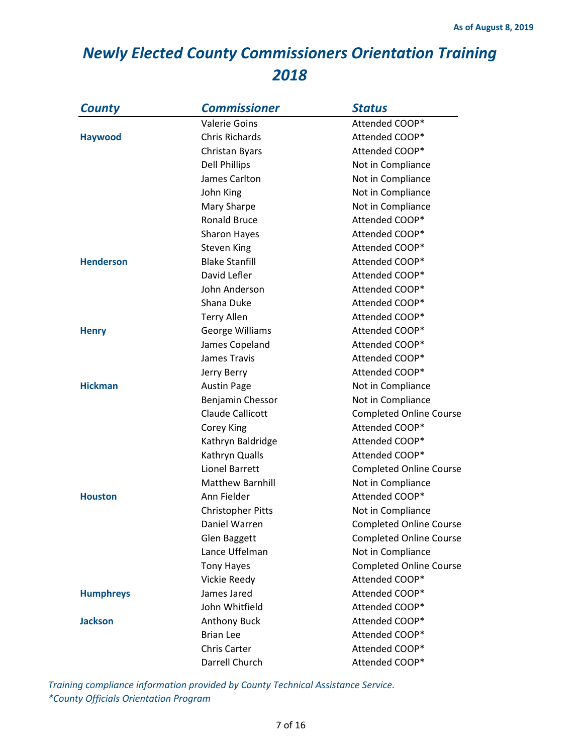| <b>County</b>    | <b>Commissioner</b>      | <b>Status</b>                  |
|------------------|--------------------------|--------------------------------|
|                  | <b>Valerie Goins</b>     | Attended COOP*                 |
| <b>Haywood</b>   | <b>Chris Richards</b>    | Attended COOP*                 |
|                  | Christan Byars           | Attended COOP*                 |
|                  | <b>Dell Phillips</b>     | Not in Compliance              |
|                  | James Carlton            | Not in Compliance              |
|                  | John King                | Not in Compliance              |
|                  | Mary Sharpe              | Not in Compliance              |
|                  | <b>Ronald Bruce</b>      | Attended COOP*                 |
|                  | Sharon Hayes             | Attended COOP*                 |
|                  | <b>Steven King</b>       | Attended COOP*                 |
| <b>Henderson</b> | <b>Blake Stanfill</b>    | Attended COOP*                 |
|                  | David Lefler             | Attended COOP*                 |
|                  | John Anderson            | Attended COOP*                 |
|                  | Shana Duke               | Attended COOP*                 |
|                  | <b>Terry Allen</b>       | Attended COOP*                 |
| <b>Henry</b>     | George Williams          | Attended COOP*                 |
|                  | James Copeland           | Attended COOP*                 |
|                  | James Travis             | Attended COOP*                 |
|                  | Jerry Berry              | Attended COOP*                 |
| <b>Hickman</b>   | <b>Austin Page</b>       | Not in Compliance              |
|                  | Benjamin Chessor         | Not in Compliance              |
|                  | Claude Callicott         | <b>Completed Online Course</b> |
|                  | Corey King               | Attended COOP*                 |
|                  | Kathryn Baldridge        | Attended COOP*                 |
|                  | Kathryn Qualls           | Attended COOP*                 |
|                  | Lionel Barrett           | <b>Completed Online Course</b> |
|                  | <b>Matthew Barnhill</b>  | Not in Compliance              |
| <b>Houston</b>   | Ann Fielder              | Attended COOP*                 |
|                  | <b>Christopher Pitts</b> | Not in Compliance              |
|                  | Daniel Warren            | <b>Completed Online Course</b> |
|                  | Glen Baggett             | <b>Completed Online Course</b> |
|                  | Lance Uffelman           | Not in Compliance              |
|                  | <b>Tony Hayes</b>        | <b>Completed Online Course</b> |
|                  | Vickie Reedy             | Attended COOP*                 |
| <b>Humphreys</b> | James Jared              | Attended COOP*                 |
|                  | John Whitfield           | Attended COOP*                 |
| <b>Jackson</b>   | <b>Anthony Buck</b>      | Attended COOP*                 |
|                  | <b>Brian Lee</b>         | Attended COOP*                 |
|                  | Chris Carter             | Attended COOP*                 |
|                  | Darrell Church           | Attended COOP*                 |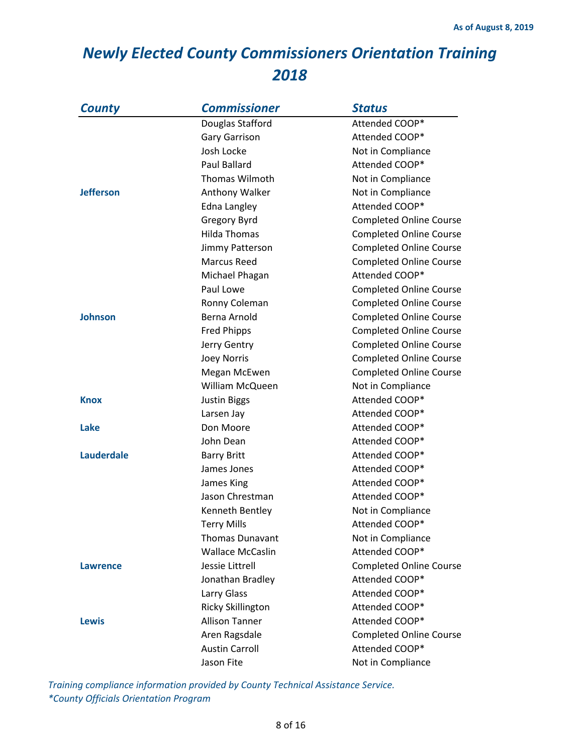| County            | <b>Commissioner</b>      | <b>Status</b>                  |
|-------------------|--------------------------|--------------------------------|
|                   | Douglas Stafford         | Attended COOP*                 |
|                   | Gary Garrison            | Attended COOP*                 |
|                   | Josh Locke               | Not in Compliance              |
|                   | <b>Paul Ballard</b>      | Attended COOP*                 |
|                   | Thomas Wilmoth           | Not in Compliance              |
| <b>Jefferson</b>  | Anthony Walker           | Not in Compliance              |
|                   | Edna Langley             | Attended COOP*                 |
|                   | Gregory Byrd             | <b>Completed Online Course</b> |
|                   | <b>Hilda Thomas</b>      | <b>Completed Online Course</b> |
|                   | Jimmy Patterson          | <b>Completed Online Course</b> |
|                   | <b>Marcus Reed</b>       | <b>Completed Online Course</b> |
|                   | Michael Phagan           | Attended COOP*                 |
|                   | Paul Lowe                | <b>Completed Online Course</b> |
|                   | Ronny Coleman            | <b>Completed Online Course</b> |
| <b>Johnson</b>    | Berna Arnold             | <b>Completed Online Course</b> |
|                   | <b>Fred Phipps</b>       | <b>Completed Online Course</b> |
|                   | Jerry Gentry             | <b>Completed Online Course</b> |
|                   | <b>Joey Norris</b>       | <b>Completed Online Course</b> |
|                   | Megan McEwen             | <b>Completed Online Course</b> |
|                   | William McQueen          | Not in Compliance              |
| <b>Knox</b>       | <b>Justin Biggs</b>      | Attended COOP*                 |
|                   | Larsen Jay               | Attended COOP*                 |
| Lake              | Don Moore                | Attended COOP*                 |
|                   | John Dean                | Attended COOP*                 |
| <b>Lauderdale</b> | <b>Barry Britt</b>       | Attended COOP*                 |
|                   | James Jones              | Attended COOP*                 |
|                   | James King               | Attended COOP*                 |
|                   | Jason Chrestman          | Attended COOP*                 |
|                   | Kenneth Bentley          | Not in Compliance              |
|                   | <b>Terry Mills</b>       | Attended COOP*                 |
|                   | <b>Thomas Dunavant</b>   | Not in Compliance              |
|                   | <b>Wallace McCaslin</b>  | Attended COOP*                 |
| <b>Lawrence</b>   | Jessie Littrell          | <b>Completed Online Course</b> |
|                   | Jonathan Bradley         | Attended COOP*                 |
|                   | Larry Glass              | Attended COOP*                 |
|                   | <b>Ricky Skillington</b> | Attended COOP*                 |
| <b>Lewis</b>      | <b>Allison Tanner</b>    | Attended COOP*                 |
|                   | Aren Ragsdale            | <b>Completed Online Course</b> |
|                   | <b>Austin Carroll</b>    | Attended COOP*                 |
|                   | Jason Fite               | Not in Compliance              |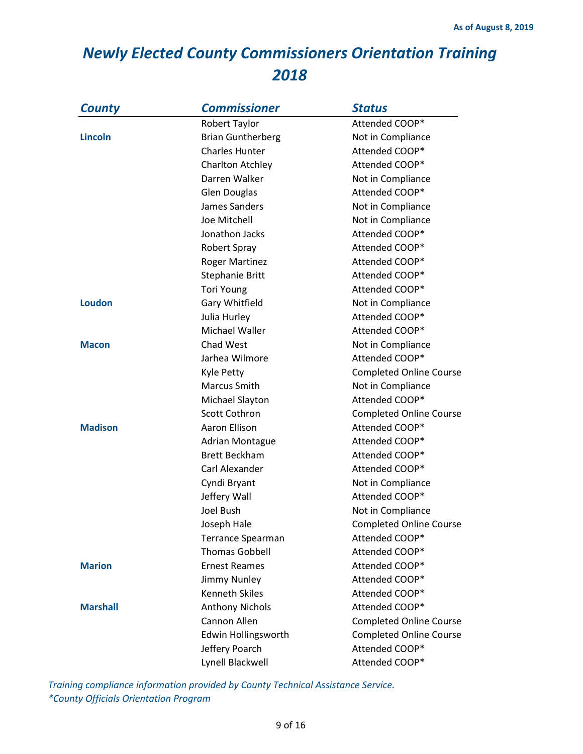| <b>County</b>   | <b>Commissioner</b>      | <b>Status</b>                  |
|-----------------|--------------------------|--------------------------------|
|                 | Robert Taylor            | Attended COOP*                 |
| <b>Lincoln</b>  | <b>Brian Guntherberg</b> | Not in Compliance              |
|                 | <b>Charles Hunter</b>    | Attended COOP*                 |
|                 | <b>Charlton Atchley</b>  | Attended COOP*                 |
|                 | Darren Walker            | Not in Compliance              |
|                 | <b>Glen Douglas</b>      | Attended COOP*                 |
|                 | James Sanders            | Not in Compliance              |
|                 | Joe Mitchell             | Not in Compliance              |
|                 | Jonathon Jacks           | Attended COOP*                 |
|                 | Robert Spray             | Attended COOP*                 |
|                 | <b>Roger Martinez</b>    | Attended COOP*                 |
|                 | <b>Stephanie Britt</b>   | Attended COOP*                 |
|                 | <b>Tori Young</b>        | Attended COOP*                 |
| Loudon          | Gary Whitfield           | Not in Compliance              |
|                 | Julia Hurley             | Attended COOP*                 |
|                 | Michael Waller           | Attended COOP*                 |
| <b>Macon</b>    | Chad West                | Not in Compliance              |
|                 | Jarhea Wilmore           | Attended COOP*                 |
|                 | Kyle Petty               | <b>Completed Online Course</b> |
|                 | Marcus Smith             | Not in Compliance              |
|                 | Michael Slayton          | Attended COOP*                 |
|                 | Scott Cothron            | <b>Completed Online Course</b> |
| <b>Madison</b>  | Aaron Ellison            | Attended COOP*                 |
|                 | <b>Adrian Montague</b>   | Attended COOP*                 |
|                 | <b>Brett Beckham</b>     | Attended COOP*                 |
|                 | Carl Alexander           | Attended COOP*                 |
|                 | Cyndi Bryant             | Not in Compliance              |
|                 | Jeffery Wall             | Attended COOP*                 |
|                 | Joel Bush                | Not in Compliance              |
|                 | Joseph Hale              | <b>Completed Online Course</b> |
|                 | <b>Terrance Spearman</b> | Attended COOP*                 |
|                 | <b>Thomas Gobbell</b>    | Attended COOP*                 |
| <b>Marion</b>   | <b>Ernest Reames</b>     | Attended COOP*                 |
|                 | <b>Jimmy Nunley</b>      | Attended COOP*                 |
|                 | <b>Kenneth Skiles</b>    | Attended COOP*                 |
| <b>Marshall</b> | <b>Anthony Nichols</b>   | Attended COOP*                 |
|                 | Cannon Allen             | <b>Completed Online Course</b> |
|                 | Edwin Hollingsworth      | <b>Completed Online Course</b> |
|                 | Jeffery Poarch           | Attended COOP*                 |
|                 | Lynell Blackwell         | Attended COOP*                 |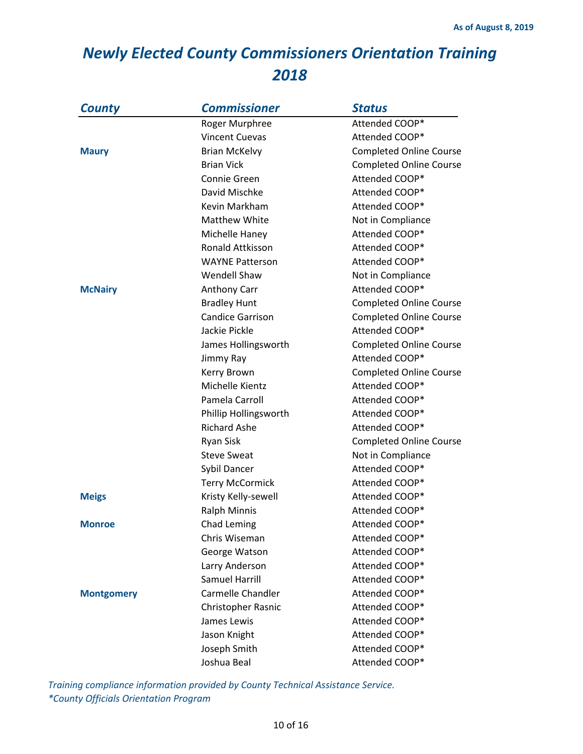| <b>County</b>     | <b>Commissioner</b>     | <b>Status</b>                  |
|-------------------|-------------------------|--------------------------------|
|                   | Roger Murphree          | Attended COOP*                 |
|                   | <b>Vincent Cuevas</b>   | Attended COOP*                 |
| <b>Maury</b>      | <b>Brian McKelvy</b>    | <b>Completed Online Course</b> |
|                   | <b>Brian Vick</b>       | <b>Completed Online Course</b> |
|                   | Connie Green            | Attended COOP*                 |
|                   | David Mischke           | Attended COOP*                 |
|                   | Kevin Markham           | Attended COOP*                 |
|                   | Matthew White           | Not in Compliance              |
|                   | Michelle Haney          | Attended COOP*                 |
|                   | Ronald Attkisson        | Attended COOP*                 |
|                   | <b>WAYNE Patterson</b>  | Attended COOP*                 |
|                   | Wendell Shaw            | Not in Compliance              |
| <b>McNairy</b>    | Anthony Carr            | Attended COOP*                 |
|                   | <b>Bradley Hunt</b>     | <b>Completed Online Course</b> |
|                   | <b>Candice Garrison</b> | <b>Completed Online Course</b> |
|                   | Jackie Pickle           | Attended COOP*                 |
|                   | James Hollingsworth     | <b>Completed Online Course</b> |
|                   | Jimmy Ray               | Attended COOP*                 |
|                   | Kerry Brown             | <b>Completed Online Course</b> |
|                   | Michelle Kientz         | Attended COOP*                 |
|                   | Pamela Carroll          | Attended COOP*                 |
|                   | Phillip Hollingsworth   | Attended COOP*                 |
|                   | <b>Richard Ashe</b>     | Attended COOP*                 |
|                   | <b>Ryan Sisk</b>        | <b>Completed Online Course</b> |
|                   | <b>Steve Sweat</b>      | Not in Compliance              |
|                   | Sybil Dancer            | Attended COOP*                 |
|                   | <b>Terry McCormick</b>  | Attended COOP*                 |
| <b>Meigs</b>      | Kristy Kelly-sewell     | Attended COOP*                 |
|                   | <b>Ralph Minnis</b>     | Attended COOP*                 |
| <b>Monroe</b>     | <b>Chad Leming</b>      | Attended COOP*                 |
|                   | Chris Wiseman           | Attended COOP*                 |
|                   | George Watson           | Attended COOP*                 |
|                   | Larry Anderson          | Attended COOP*                 |
|                   | <b>Samuel Harrill</b>   | Attended COOP*                 |
| <b>Montgomery</b> | Carmelle Chandler       | Attended COOP*                 |
|                   | Christopher Rasnic      | Attended COOP*                 |
|                   | James Lewis             | Attended COOP*                 |
|                   | Jason Knight            | Attended COOP*                 |
|                   | Joseph Smith            | Attended COOP*                 |
|                   | Joshua Beal             | Attended COOP*                 |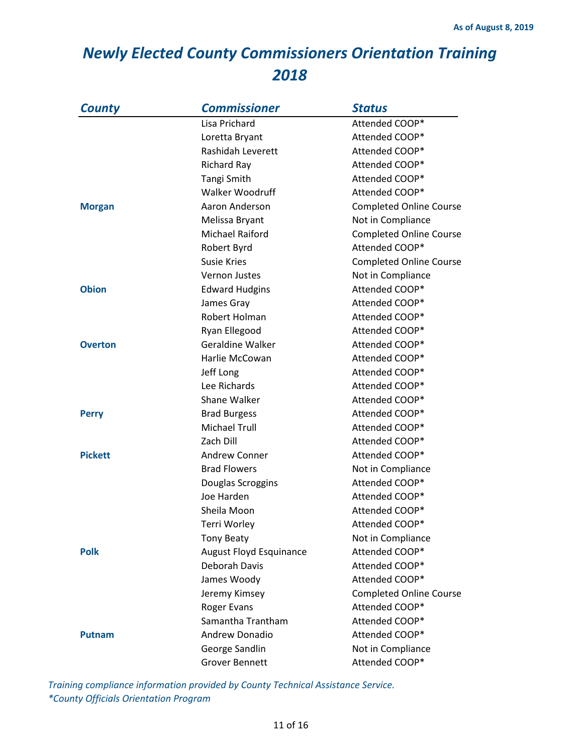| <b>County</b>  | <b>Commissioner</b>            | <b>Status</b>                  |
|----------------|--------------------------------|--------------------------------|
|                | Lisa Prichard                  | Attended COOP*                 |
|                | Loretta Bryant                 | Attended COOP*                 |
|                | Rashidah Leverett              | Attended COOP*                 |
|                | <b>Richard Ray</b>             | Attended COOP*                 |
|                | Tangi Smith                    | Attended COOP*                 |
|                | Walker Woodruff                | Attended COOP*                 |
| <b>Morgan</b>  | Aaron Anderson                 | <b>Completed Online Course</b> |
|                | Melissa Bryant                 | Not in Compliance              |
|                | Michael Raiford                | <b>Completed Online Course</b> |
|                | Robert Byrd                    | Attended COOP*                 |
|                | <b>Susie Kries</b>             | <b>Completed Online Course</b> |
|                | Vernon Justes                  | Not in Compliance              |
| <b>Obion</b>   | <b>Edward Hudgins</b>          | Attended COOP*                 |
|                | James Gray                     | Attended COOP*                 |
|                | Robert Holman                  | Attended COOP*                 |
|                | Ryan Ellegood                  | Attended COOP*                 |
| <b>Overton</b> | Geraldine Walker               | Attended COOP*                 |
|                | Harlie McCowan                 | Attended COOP*                 |
|                | Jeff Long                      | Attended COOP*                 |
|                | Lee Richards                   | Attended COOP*                 |
|                | Shane Walker                   | Attended COOP*                 |
| <b>Perry</b>   | <b>Brad Burgess</b>            | Attended COOP*                 |
|                | <b>Michael Trull</b>           | Attended COOP*                 |
|                | Zach Dill                      | Attended COOP*                 |
| <b>Pickett</b> | <b>Andrew Conner</b>           | Attended COOP*                 |
|                | <b>Brad Flowers</b>            | Not in Compliance              |
|                | Douglas Scroggins              | Attended COOP*                 |
|                | Joe Harden                     | Attended COOP*                 |
|                | Sheila Moon                    | Attended COOP*                 |
|                | Terri Worley                   | Attended COOP*                 |
|                | <b>Tony Beaty</b>              | Not in Compliance              |
| <b>Polk</b>    | <b>August Floyd Esquinance</b> | Attended COOP*                 |
|                | Deborah Davis                  | Attended COOP*                 |
|                | James Woody                    | Attended COOP*                 |
|                | Jeremy Kimsey                  | <b>Completed Online Course</b> |
|                | Roger Evans                    | Attended COOP*                 |
|                | Samantha Trantham              | Attended COOP*                 |
| <b>Putnam</b>  | Andrew Donadio                 | Attended COOP*                 |
|                | George Sandlin                 | Not in Compliance              |
|                | Grover Bennett                 | Attended COOP*                 |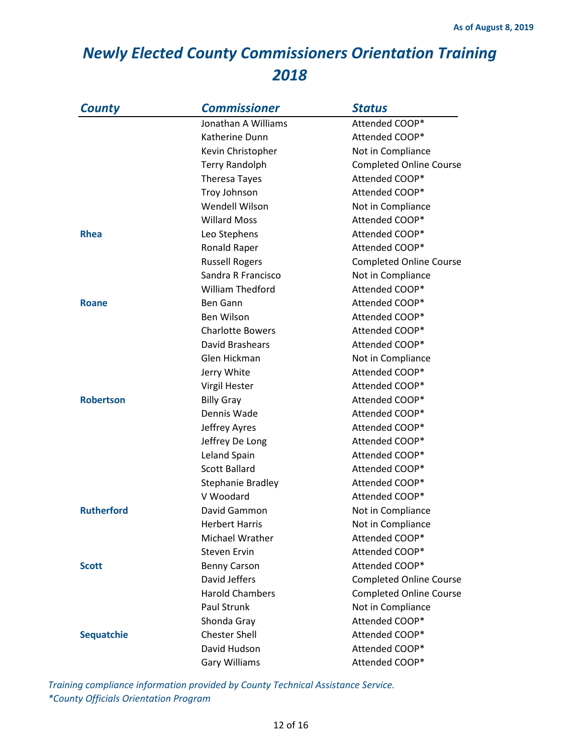| <b>County</b>     | <b>Commissioner</b>     | <b>Status</b>                  |
|-------------------|-------------------------|--------------------------------|
|                   | Jonathan A Williams     | Attended COOP*                 |
|                   | Katherine Dunn          | Attended COOP*                 |
|                   | Kevin Christopher       | Not in Compliance              |
|                   | <b>Terry Randolph</b>   | <b>Completed Online Course</b> |
|                   | <b>Theresa Tayes</b>    | Attended COOP*                 |
|                   | Troy Johnson            | Attended COOP*                 |
|                   | <b>Wendell Wilson</b>   | Not in Compliance              |
|                   | <b>Willard Moss</b>     | Attended COOP*                 |
| <b>Rhea</b>       | Leo Stephens            | Attended COOP*                 |
|                   | Ronald Raper            | Attended COOP*                 |
|                   | <b>Russell Rogers</b>   | <b>Completed Online Course</b> |
|                   | Sandra R Francisco      | Not in Compliance              |
|                   | <b>William Thedford</b> | Attended COOP*                 |
| <b>Roane</b>      | <b>Ben Gann</b>         | Attended COOP*                 |
|                   | Ben Wilson              | Attended COOP*                 |
|                   | <b>Charlotte Bowers</b> | Attended COOP*                 |
|                   | David Brashears         | Attended COOP*                 |
|                   | Glen Hickman            | Not in Compliance              |
|                   | Jerry White             | Attended COOP*                 |
|                   | <b>Virgil Hester</b>    | Attended COOP*                 |
| <b>Robertson</b>  | <b>Billy Gray</b>       | Attended COOP*                 |
|                   | Dennis Wade             | Attended COOP*                 |
|                   | Jeffrey Ayres           | Attended COOP*                 |
|                   | Jeffrey De Long         | Attended COOP*                 |
|                   | Leland Spain            | Attended COOP*                 |
|                   | <b>Scott Ballard</b>    | Attended COOP*                 |
|                   | Stephanie Bradley       | Attended COOP*                 |
|                   | V Woodard               | Attended COOP*                 |
| <b>Rutherford</b> | David Gammon            | Not in Compliance              |
|                   | <b>Herbert Harris</b>   | Not in Compliance              |
|                   | Michael Wrather         | Attended COOP*                 |
|                   | <b>Steven Ervin</b>     | Attended COOP*                 |
| <b>Scott</b>      | <b>Benny Carson</b>     | Attended COOP*                 |
|                   | David Jeffers           | <b>Completed Online Course</b> |
|                   | <b>Harold Chambers</b>  | <b>Completed Online Course</b> |
|                   | Paul Strunk             | Not in Compliance              |
|                   | Shonda Gray             | Attended COOP*                 |
| <b>Sequatchie</b> | <b>Chester Shell</b>    | Attended COOP*                 |
|                   | David Hudson            | Attended COOP*                 |
|                   | <b>Gary Williams</b>    | Attended COOP*                 |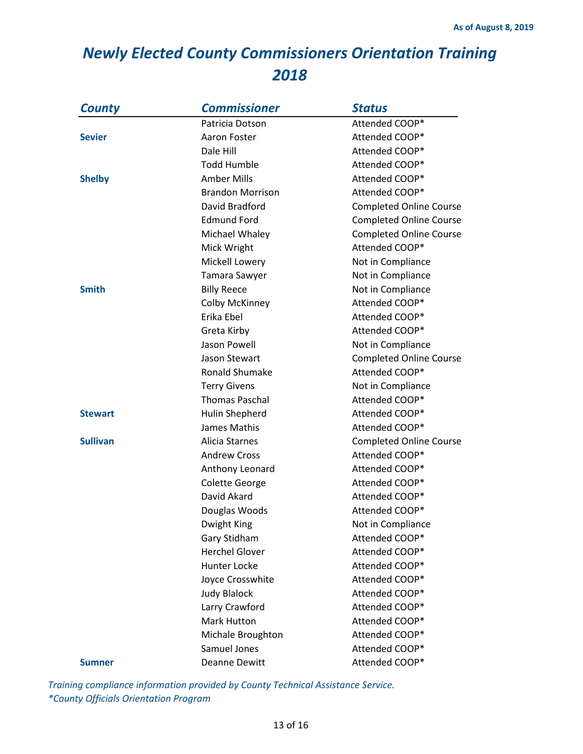| <b>County</b>   | <b>Commissioner</b>     | <b>Status</b>                  |
|-----------------|-------------------------|--------------------------------|
|                 | Patricia Dotson         | Attended COOP*                 |
| <b>Sevier</b>   | Aaron Foster            | Attended COOP*                 |
|                 | Dale Hill               | Attended COOP*                 |
|                 | <b>Todd Humble</b>      | Attended COOP*                 |
| <b>Shelby</b>   | <b>Amber Mills</b>      | Attended COOP*                 |
|                 | <b>Brandon Morrison</b> | Attended COOP*                 |
|                 | David Bradford          | <b>Completed Online Course</b> |
|                 | <b>Edmund Ford</b>      | <b>Completed Online Course</b> |
|                 | Michael Whaley          | <b>Completed Online Course</b> |
|                 | Mick Wright             | Attended COOP*                 |
|                 | Mickell Lowery          | Not in Compliance              |
|                 | Tamara Sawyer           | Not in Compliance              |
| <b>Smith</b>    | <b>Billy Reece</b>      | Not in Compliance              |
|                 | Colby McKinney          | Attended COOP*                 |
|                 | Erika Ebel              | Attended COOP*                 |
|                 | Greta Kirby             | Attended COOP*                 |
|                 | Jason Powell            | Not in Compliance              |
|                 | Jason Stewart           | <b>Completed Online Course</b> |
|                 | <b>Ronald Shumake</b>   | Attended COOP*                 |
|                 | <b>Terry Givens</b>     | Not in Compliance              |
|                 | <b>Thomas Paschal</b>   | Attended COOP*                 |
| <b>Stewart</b>  | Hulin Shepherd          | Attended COOP*                 |
|                 | James Mathis            | Attended COOP*                 |
| <b>Sullivan</b> | Alicia Starnes          | <b>Completed Online Course</b> |
|                 | <b>Andrew Cross</b>     | Attended COOP*                 |
|                 | Anthony Leonard         | Attended COOP*                 |
|                 | <b>Colette George</b>   | Attended COOP*                 |
|                 | David Akard             | Attended COOP*                 |
|                 | Douglas Woods           | Attended COOP*                 |
|                 | Dwight King             | Not in Compliance              |
|                 | Gary Stidham            | Attended COOP*                 |
|                 | <b>Herchel Glover</b>   | Attended COOP*                 |
|                 | <b>Hunter Locke</b>     | Attended COOP*                 |
|                 | Joyce Crosswhite        | Attended COOP*                 |
|                 | <b>Judy Blalock</b>     | Attended COOP*                 |
|                 | Larry Crawford          | Attended COOP*                 |
|                 | <b>Mark Hutton</b>      | Attended COOP*                 |
|                 | Michale Broughton       | Attended COOP*                 |
|                 | Samuel Jones            | Attended COOP*                 |
| <b>Sumner</b>   | Deanne Dewitt           | Attended COOP*                 |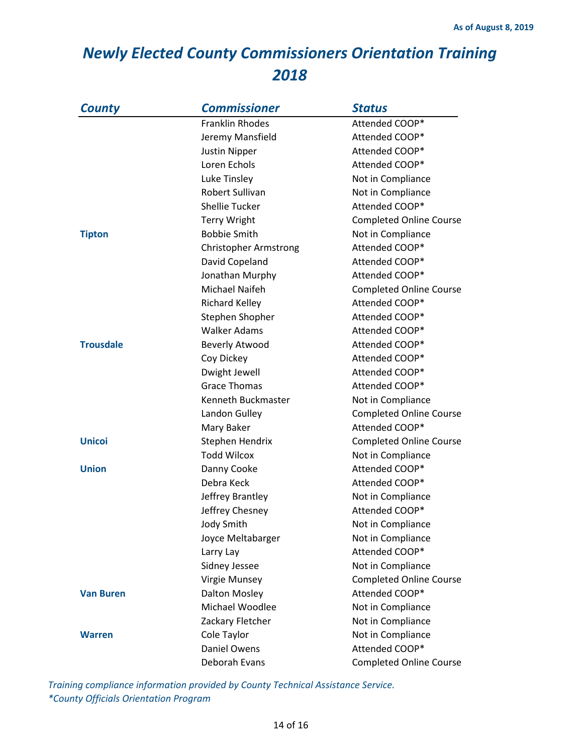| County           | <b>Commissioner</b>          | <b>Status</b>                  |
|------------------|------------------------------|--------------------------------|
|                  | <b>Franklin Rhodes</b>       | Attended COOP*                 |
|                  | Jeremy Mansfield             | Attended COOP*                 |
|                  | Justin Nipper                | Attended COOP*                 |
|                  | Loren Echols                 | Attended COOP*                 |
|                  | Luke Tinsley                 | Not in Compliance              |
|                  | Robert Sullivan              | Not in Compliance              |
|                  | <b>Shellie Tucker</b>        | Attended COOP*                 |
|                  | <b>Terry Wright</b>          | <b>Completed Online Course</b> |
| <b>Tipton</b>    | <b>Bobbie Smith</b>          | Not in Compliance              |
|                  | <b>Christopher Armstrong</b> | Attended COOP*                 |
|                  | David Copeland               | Attended COOP*                 |
|                  | Jonathan Murphy              | Attended COOP*                 |
|                  | Michael Naifeh               | <b>Completed Online Course</b> |
|                  | <b>Richard Kelley</b>        | Attended COOP*                 |
|                  | Stephen Shopher              | Attended COOP*                 |
|                  | <b>Walker Adams</b>          | Attended COOP*                 |
| <b>Trousdale</b> | <b>Beverly Atwood</b>        | Attended COOP*                 |
|                  | Coy Dickey                   | Attended COOP*                 |
|                  | Dwight Jewell                | Attended COOP*                 |
|                  | <b>Grace Thomas</b>          | Attended COOP*                 |
|                  | Kenneth Buckmaster           | Not in Compliance              |
|                  | Landon Gulley                | <b>Completed Online Course</b> |
|                  | Mary Baker                   | Attended COOP*                 |
| <b>Unicoi</b>    | Stephen Hendrix              | <b>Completed Online Course</b> |
|                  | <b>Todd Wilcox</b>           | Not in Compliance              |
| <b>Union</b>     | Danny Cooke                  | Attended COOP*                 |
|                  | Debra Keck                   | Attended COOP*                 |
|                  | Jeffrey Brantley             | Not in Compliance              |
|                  | Jeffrey Chesney              | Attended COOP*                 |
|                  | <b>Jody Smith</b>            | Not in Compliance              |
|                  | Joyce Meltabarger            | Not in Compliance              |
|                  | Larry Lay                    | Attended COOP*                 |
|                  | Sidney Jessee                | Not in Compliance              |
|                  | Virgie Munsey                | <b>Completed Online Course</b> |
| <b>Van Buren</b> | <b>Dalton Mosley</b>         | Attended COOP*                 |
|                  | Michael Woodlee              | Not in Compliance              |
|                  | Zackary Fletcher             | Not in Compliance              |
| <b>Warren</b>    | Cole Taylor                  | Not in Compliance              |
|                  | Daniel Owens                 | Attended COOP*                 |
|                  | Deborah Evans                | <b>Completed Online Course</b> |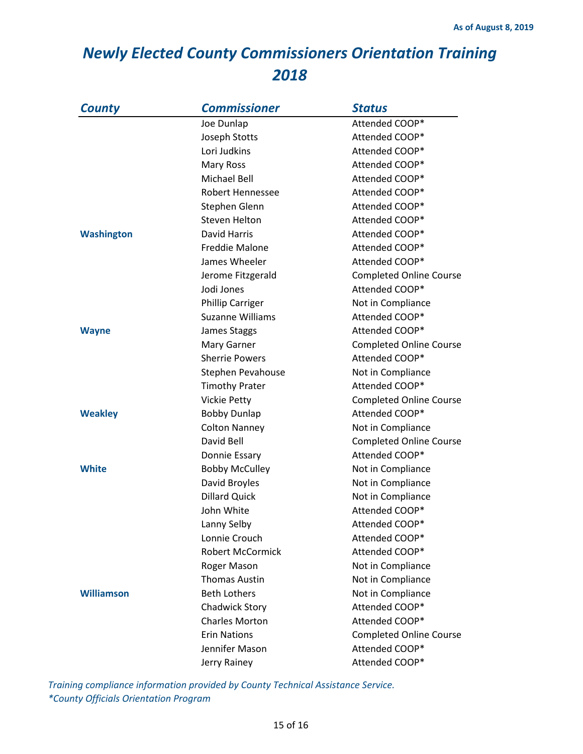| <b>County</b>     | <b>Commissioner</b>     | <b>Status</b>                  |
|-------------------|-------------------------|--------------------------------|
|                   | Joe Dunlap              | Attended COOP*                 |
|                   | Joseph Stotts           | Attended COOP*                 |
|                   | Lori Judkins            | Attended COOP*                 |
|                   | Mary Ross               | Attended COOP*                 |
|                   | <b>Michael Bell</b>     | Attended COOP*                 |
|                   | Robert Hennessee        | Attended COOP*                 |
|                   | Stephen Glenn           | Attended COOP*                 |
|                   | Steven Helton           | Attended COOP*                 |
| <b>Washington</b> | David Harris            | Attended COOP*                 |
|                   | <b>Freddie Malone</b>   | Attended COOP*                 |
|                   | James Wheeler           | Attended COOP*                 |
|                   | Jerome Fitzgerald       | <b>Completed Online Course</b> |
|                   | Jodi Jones              | Attended COOP*                 |
|                   | <b>Phillip Carriger</b> | Not in Compliance              |
|                   | <b>Suzanne Williams</b> | Attended COOP*                 |
| <b>Wayne</b>      | James Staggs            | Attended COOP*                 |
|                   | Mary Garner             | <b>Completed Online Course</b> |
|                   | <b>Sherrie Powers</b>   | Attended COOP*                 |
|                   | Stephen Pevahouse       | Not in Compliance              |
|                   | <b>Timothy Prater</b>   | Attended COOP*                 |
|                   | <b>Vickie Petty</b>     | <b>Completed Online Course</b> |
| <b>Weakley</b>    | <b>Bobby Dunlap</b>     | Attended COOP*                 |
|                   | <b>Colton Nanney</b>    | Not in Compliance              |
|                   | David Bell              | <b>Completed Online Course</b> |
|                   | Donnie Essary           | Attended COOP*                 |
| <b>White</b>      | <b>Bobby McCulley</b>   | Not in Compliance              |
|                   | David Broyles           | Not in Compliance              |
|                   | <b>Dillard Quick</b>    | Not in Compliance              |
|                   | John White              | Attended COOP*                 |
|                   | Lanny Selby             | Attended COOP*                 |
|                   | Lonnie Crouch           | Attended COOP*                 |
|                   | <b>Robert McCormick</b> | Attended COOP*                 |
|                   | Roger Mason             | Not in Compliance              |
|                   | <b>Thomas Austin</b>    | Not in Compliance              |
| <b>Williamson</b> | <b>Beth Lothers</b>     | Not in Compliance              |
|                   | <b>Chadwick Story</b>   | Attended COOP*                 |
|                   | <b>Charles Morton</b>   | Attended COOP*                 |
|                   | <b>Erin Nations</b>     | <b>Completed Online Course</b> |
|                   | Jennifer Mason          | Attended COOP*                 |
|                   | Jerry Rainey            | Attended COOP*                 |